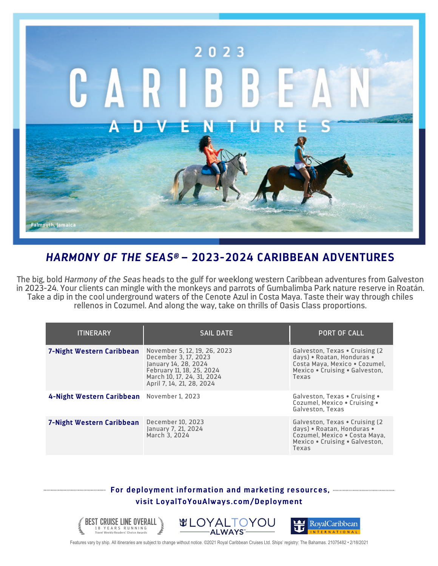

## *HARMONY OF THE SEAS®* **– 2023-2024 CARIBBEAN ADVENTURES**

The big, bold *Harmony of the Seas* heads to the gulf for weeklong western Caribbean adventures from Galveston in 2023-24. Your clients can mingle with the monkeys and parrots of Gumbalimba Park nature reserve in Roatán. Take a dip in the cool underground waters of the Cenote Azul in Costa Maya. Taste their way through chiles rellenos in Cozumel. And along the way, take on thrills of Oasis Class proportions.

| <b>ITINERARY</b>                           | <b>SAIL DATE</b>                                                                                                                                                     | <b>PORT OF CALL</b>                                                                                                                       |
|--------------------------------------------|----------------------------------------------------------------------------------------------------------------------------------------------------------------------|-------------------------------------------------------------------------------------------------------------------------------------------|
| 7-Night Western Caribbean                  | November 5, 12, 19, 26, 2023<br>December 3, 17, 2023<br>January 14, 28, 2024<br>February 11, 18, 25, 2024<br>March 10, 17, 24, 31, 2024<br>April 7, 14, 21, 28, 2024 | Galveston, Texas . Cruising (2)<br>days) • Roatan, Honduras •<br>Costa Maya, Mexico . Cozumel,<br>Mexico . Cruising . Galveston,<br>Texas |
| 4-Night Western Caribbean November 1, 2023 |                                                                                                                                                                      | Galveston, Texas . Cruising .<br>Cozumel, Mexico . Cruising .<br>Galveston, Texas                                                         |
| 7-Night Western Caribbean                  | December 10, 2023<br>January 7, 21, 2024<br>March 3. 2024                                                                                                            | Galveston, Texas • Cruising (2)<br>days) . Roatan, Honduras .<br>Cozumel, Mexico . Costa Maya,<br>Mexico . Cruising . Galveston,<br>Texas |

## **For deployment information and marketing resources, visit LoyalToYouAlways.com/Deployment**



Features vary by ship. All itineraries are subject to change without notice. ©2021 Royal Caribbean Cruises Ltd. Ships' registry: The Bahamas. 21075482 • 2/18/2021